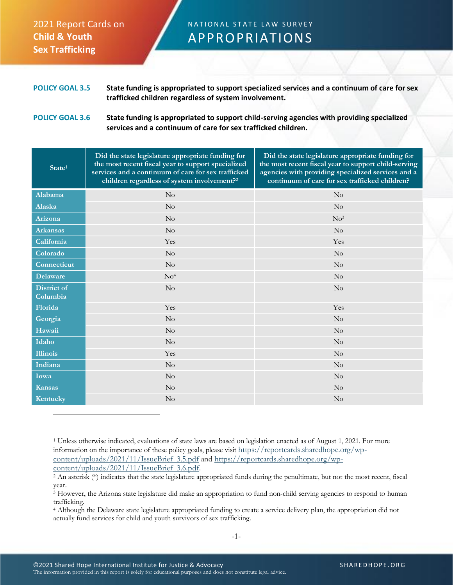## 2021 Report Cards on **Child & Youth Sex Trafficking**

## N A T I O N A L STATE LAW SURVEY APPROPRIATIONS

**POLICY GOAL 3.5 State funding is appropriated to support specialized services and a continuum of care for sex trafficked children regardless of system involvement.**

## **POLICY GOAL 3.6 State funding is appropriated to support child-serving agencies with providing specialized services and a continuum of care for sex trafficked children.**

| State <sup>1</sup>             | Did the state legislature appropriate funding for<br>the most recent fiscal year to support specialized<br>services and a continuum of care for sex trafficked<br>children regardless of system involvement? <sup>2</sup> | Did the state legislature appropriate funding for<br>the most recent fiscal year to support child-serving<br>agencies with providing specialized services and a<br>continuum of care for sex trafficked children? |
|--------------------------------|---------------------------------------------------------------------------------------------------------------------------------------------------------------------------------------------------------------------------|-------------------------------------------------------------------------------------------------------------------------------------------------------------------------------------------------------------------|
| Alabama                        | No                                                                                                                                                                                                                        | $\rm No$                                                                                                                                                                                                          |
| <b>Alaska</b>                  | $\rm No$                                                                                                                                                                                                                  | $\rm No$                                                                                                                                                                                                          |
| Arizona                        | No                                                                                                                                                                                                                        | No <sup>3</sup>                                                                                                                                                                                                   |
| <b>Arkansas</b>                | No                                                                                                                                                                                                                        | No                                                                                                                                                                                                                |
| California                     | Yes                                                                                                                                                                                                                       | Yes                                                                                                                                                                                                               |
| Colorado                       | No                                                                                                                                                                                                                        | No                                                                                                                                                                                                                |
| Connecticut                    | $\rm No$                                                                                                                                                                                                                  | $\rm No$                                                                                                                                                                                                          |
| <b>Delaware</b>                | No <sup>4</sup>                                                                                                                                                                                                           | No                                                                                                                                                                                                                |
| <b>District of</b><br>Columbia | No                                                                                                                                                                                                                        | No                                                                                                                                                                                                                |
| Florida                        | Yes                                                                                                                                                                                                                       | Yes                                                                                                                                                                                                               |
| Georgia                        | No                                                                                                                                                                                                                        | No                                                                                                                                                                                                                |
| Hawaii                         | No                                                                                                                                                                                                                        | No                                                                                                                                                                                                                |
| Idaho                          | No                                                                                                                                                                                                                        | No                                                                                                                                                                                                                |
| <b>Illinois</b>                | Yes                                                                                                                                                                                                                       | No                                                                                                                                                                                                                |
| Indiana                        | No                                                                                                                                                                                                                        | No                                                                                                                                                                                                                |
| Iowa                           | $\rm No$                                                                                                                                                                                                                  | $\rm No$                                                                                                                                                                                                          |
| <b>Kansas</b>                  | No                                                                                                                                                                                                                        | No                                                                                                                                                                                                                |
| Kentucky                       | No                                                                                                                                                                                                                        | No                                                                                                                                                                                                                |

<sup>4</sup> Although the Delaware state legislature appropriated funding to create a service delivery plan, the appropriation did not actually fund services for child and youth survivors of sex trafficking.

<sup>1</sup> Unless otherwise indicated, evaluations of state laws are based on legislation enacted as of August 1, 2021. For more information on the importance of these policy goals, please visit [https://reportcards.sharedhope.org/wp](https://reportcards.sharedhope.org/wp-content/uploads/2021/11/IssueBrief_3.5.pdf)[content/uploads/2021/11/IssueBrief\\_3.5.pdf](https://reportcards.sharedhope.org/wp-content/uploads/2021/11/IssueBrief_3.5.pdf) and [https://reportcards.sharedhope.org/wp](https://reportcards.sharedhope.org/wp-content/uploads/2021/11/IssueBrief_3.6.pdf)[content/uploads/2021/11/IssueBrief\\_3.6.pdf.](https://reportcards.sharedhope.org/wp-content/uploads/2021/11/IssueBrief_3.6.pdf)

<sup>2</sup> An asterisk (\*) indicates that the state legislature appropriated funds during the penultimate, but not the most recent, fiscal year.

<sup>3</sup> However, the Arizona state legislature did make an appropriation to fund non-child serving agencies to respond to human trafficking.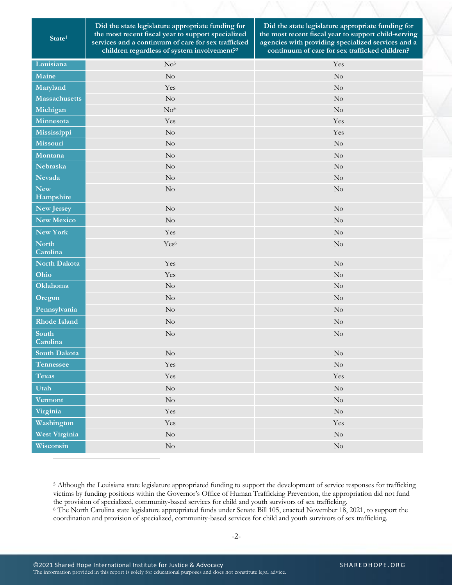**State<sup>1</sup>**

**Did the state legislature appropriate funding for the most recent fiscal year to support specialized services and a continuum of care for sex trafficked children regardless of system involvement?<sup>2</sup>**

**Did the state legislature appropriate funding for the most recent fiscal year to support child-serving agencies with providing specialized services and a continuum of care for sex trafficked children?**

| Louisiana                | $\rm No^5$           | Yes      |
|--------------------------|----------------------|----------|
| Maine                    | $\rm No$             | $\rm No$ |
| Maryland                 | Yes                  | $\rm No$ |
| Massachusetts            | $\rm No$             | $\rm No$ |
| Michigan                 | $\mathrm{No}^*$      | $\rm No$ |
| Minnesota                | Yes                  | Yes      |
| Mississippi              | $\rm No$             | Yes      |
| Missouri                 | $\rm No$             | $\rm No$ |
| Montana                  | N <sub>o</sub>       | $\rm No$ |
| <b>Nebraska</b>          | $\rm No$             | $\rm No$ |
| <b>Nevada</b>            | $\rm No$             | $\rm No$ |
| <b>New</b>               | $\rm No$             | $\rm No$ |
| Hampshire                |                      |          |
| New Jersey               | N <sub>o</sub>       | $\rm No$ |
| <b>New Mexico</b>        | $\rm No$             | $\rm No$ |
| New York                 | Yes                  | $\rm No$ |
| <b>North</b><br>Carolina | Yes <sup>6</sup>     | $\rm No$ |
| North Dakota             | Yes                  | $\rm No$ |
| Ohio                     | Yes                  | $\rm No$ |
| Oklahoma                 | $\rm No$             | $\rm No$ |
| Oregon                   | No                   | $\rm No$ |
| Pennsylvania             | No                   | $\rm No$ |
| <b>Rhode Island</b>      | $\rm No$             | $\rm No$ |
| South<br>Carolina        | $\rm No$             | $\rm No$ |
| South Dakota             | $\rm No$             | $\rm No$ |
| <b>Tennessee</b>         | Yes                  | $\rm No$ |
| <b>Texas</b>             | Yes                  | Yes      |
| Utah                     | $\rm No$             | $\rm No$ |
| Vermont                  | $\rm No$             | $\rm No$ |
| Virginia                 | $\operatorname{Yes}$ | $\rm No$ |
| Washington               | $\operatorname{Yes}$ | Yes      |
| <b>West Virginia</b>     | $\rm No$             | $\rm No$ |
| Wisconsin                | $\rm No$             | $\rm No$ |

<sup>5</sup> Although the Louisiana state legislature appropriated funding to support the development of service responses for trafficking victims by funding positions within the Governor's Office of Human Trafficking Prevention, the appropriation did not fund the provision of specialized, community-based services for child and youth survivors of sex trafficking.

<sup>6</sup> The North Carolina state legislature appropriated funds under Senate Bill 105, enacted November 18, 2021, to support the coordination and provision of specialized, community-based services for child and youth survivors of sex trafficking.